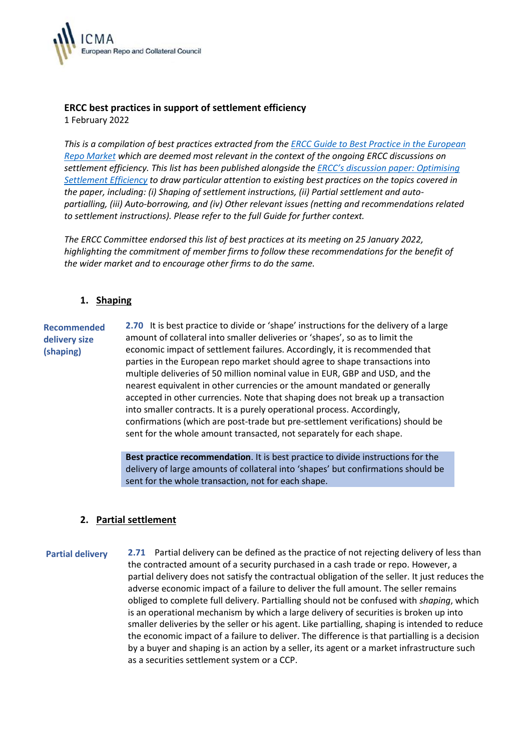

# **ERCC best practices in support of settlement efficiency**

1 February 2022

*This is a compilation of best practices extracted from the [ERCC Guide to Best Practice in the European](https://www.icmagroup.org/Regulatory-Policy-and-Market-Practice/repo-and-collateral-markets/icma-ercc-publications/icma-ercc-guide-to-best-practice-in-the-european-repo-market/)  [Repo Market](https://www.icmagroup.org/Regulatory-Policy-and-Market-Practice/repo-and-collateral-markets/icma-ercc-publications/icma-ercc-guide-to-best-practice-in-the-european-repo-market/) which are deemed most relevant in the context of the ongoing ERCC discussions on settlement efficiency. This list has been published alongside the ERCC's [discussion paper: Optimising](https://www.icmagroup.org/assets/Uploads/ERCC-discussion-paper-on-settlement-efficiency.pdf?vid=2)  [Settlement Efficiency](https://www.icmagroup.org/assets/Uploads/ERCC-discussion-paper-on-settlement-efficiency.pdf?vid=2) to draw particular attention to existing best practices on the topics covered in the paper, including: (i) Shaping of settlement instructions, (ii) Partial settlement and autopartialling, (iii) Auto-borrowing, and (iv) Other relevant issues (netting and recommendations related to settlement instructions). Please refer to the full Guide for further context.* 

*The ERCC Committee endorsed this list of best practices at its meeting on 25 January 2022, highlighting the commitment of member firms to follow these recommendations for the benefit of the wider market and to encourage other firms to do the same.*

## **1. Shaping**

**Recommended delivery size (shaping) 2.70** It is best practice to divide or 'shape' instructions for the delivery of a large amount of collateral into smaller deliveries or 'shapes', so as to limit the economic impact of settlement failures. Accordingly, it is recommended that parties in the European repo market should agree to shape transactions into multiple deliveries of 50 million nominal value in EUR, GBP and USD, and the nearest equivalent in other currencies or the amount mandated or generally accepted in other currencies. Note that shaping does not break up a transaction into smaller contracts. It is a purely operational process. Accordingly, confirmations (which are post-trade but pre-settlement verifications) should be sent for the whole amount transacted, not separately for each shape.

> **Best practice recommendation**. It is best practice to divide instructions for the delivery of large amounts of collateral into 'shapes' but confirmations should be sent for the whole transaction, not for each shape.

## **2. Partial settlement**

**Partial delivery 2.71** Partial delivery can be defined as the practice of not rejecting delivery of less than the contracted amount of a security purchased in a cash trade or repo. However, a partial delivery does not satisfy the contractual obligation of the seller. It just reduces the adverse economic impact of a failure to deliver the full amount. The seller remains obliged to complete full delivery. Partialling should not be confused with *shaping*, which is an operational mechanism by which a large delivery of securities is broken up into smaller deliveries by the seller or his agent. Like partialling, shaping is intended to reduce the economic impact of a failure to deliver. The difference is that partialling is a decision by a buyer and shaping is an action by a seller, its agent or a market infrastructure such as a securities settlement system or a CCP.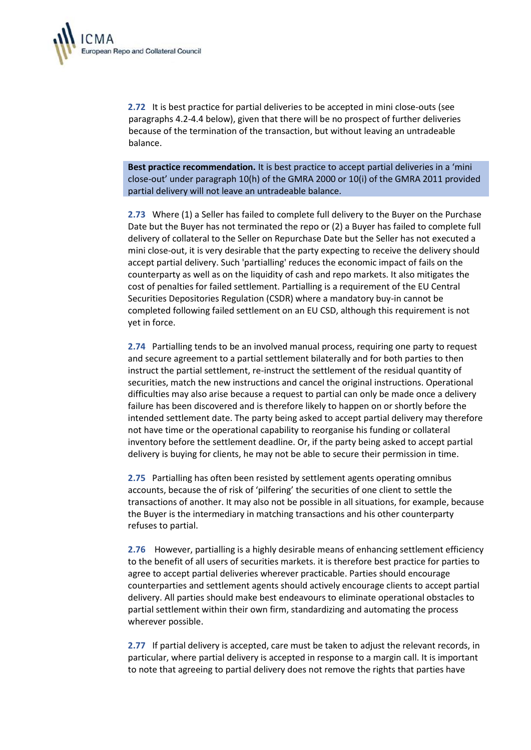

**2.72** It is best practice for partial deliveries to be accepted in mini close-outs (see paragraphs 4.2-4.4 below), given that there will be no prospect of further deliveries because of the termination of the transaction, but without leaving an untradeable balance.

**Best practice recommendation.** It is best practice to accept partial deliveries in a 'mini close-out' under paragraph 10(h) of the GMRA 2000 or 10(i) of the GMRA 2011 provided partial delivery will not leave an untradeable balance.

**2.73** Where (1) a Seller has failed to complete full delivery to the Buyer on the Purchase Date but the Buyer has not terminated the repo or (2) a Buyer has failed to complete full delivery of collateral to the Seller on Repurchase Date but the Seller has not executed a mini close-out, it is very desirable that the party expecting to receive the delivery should accept partial delivery. Such 'partialling' reduces the economic impact of fails on the counterparty as well as on the liquidity of cash and repo markets. It also mitigates the cost of penalties for failed settlement. Partialling is a requirement of the EU Central Securities Depositories Regulation (CSDR) where a mandatory buy-in cannot be completed following failed settlement on an EU CSD, although this requirement is not yet in force.

**2.74** Partialling tends to be an involved manual process, requiring one party to request and secure agreement to a partial settlement bilaterally and for both parties to then instruct the partial settlement, re-instruct the settlement of the residual quantity of securities, match the new instructions and cancel the original instructions. Operational difficulties may also arise because a request to partial can only be made once a delivery failure has been discovered and is therefore likely to happen on or shortly before the intended settlement date. The party being asked to accept partial delivery may therefore not have time or the operational capability to reorganise his funding or collateral inventory before the settlement deadline. Or, if the party being asked to accept partial delivery is buying for clients, he may not be able to secure their permission in time.

**2.75** Partialling has often been resisted by settlement agents operating omnibus accounts, because the of risk of 'pilfering' the securities of one client to settle the transactions of another. It may also not be possible in all situations, for example, because the Buyer is the intermediary in matching transactions and his other counterparty refuses to partial.

**2.76** However, partialling is a highly desirable means of enhancing settlement efficiency to the benefit of all users of securities markets. it is therefore best practice for parties to agree to accept partial deliveries wherever practicable. Parties should encourage counterparties and settlement agents should actively encourage clients to accept partial delivery. All parties should make best endeavours to eliminate operational obstacles to partial settlement within their own firm, standardizing and automating the process wherever possible.

**2.77** If partial delivery is accepted, care must be taken to adjust the relevant records, in particular, where partial delivery is accepted in response to a margin call. It is important to note that agreeing to partial delivery does not remove the rights that parties have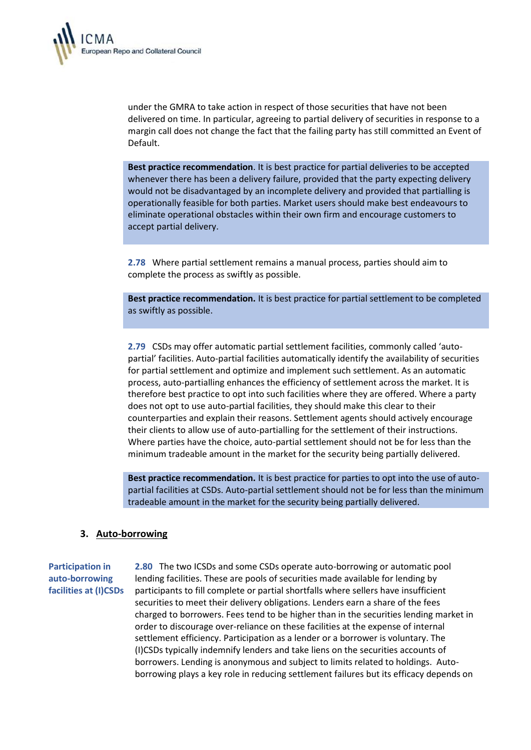

under the GMRA to take action in respect of those securities that have not been delivered on time. In particular, agreeing to partial delivery of securities in response to a margin call does not change the fact that the failing party has still committed an Event of Default.

**Best practice recommendation**. It is best practice for partial deliveries to be accepted whenever there has been a delivery failure, provided that the party expecting delivery would not be disadvantaged by an incomplete delivery and provided that partialling is operationally feasible for both parties. Market users should make best endeavours to eliminate operational obstacles within their own firm and encourage customers to accept partial delivery.

**2.78** Where partial settlement remains a manual process, parties should aim to complete the process as swiftly as possible.

**Best practice recommendation.** It is best practice for partial settlement to be completed as swiftly as possible.

**2.79** CSDs may offer automatic partial settlement facilities, commonly called 'autopartial' facilities. Auto-partial facilities automatically identify the availability of securities for partial settlement and optimize and implement such settlement. As an automatic process, auto-partialling enhances the efficiency of settlement across the market. It is therefore best practice to opt into such facilities where they are offered. Where a party does not opt to use auto-partial facilities, they should make this clear to their counterparties and explain their reasons. Settlement agents should actively encourage their clients to allow use of auto-partialling for the settlement of their instructions. Where parties have the choice, auto-partial settlement should not be for less than the minimum tradeable amount in the market for the security being partially delivered.

**Best practice recommendation.** It is best practice for parties to opt into the use of autopartial facilities at CSDs. Auto-partial settlement should not be for less than the minimum tradeable amount in the market for the security being partially delivered.

#### **3. Auto-borrowing**

## **Participation in auto-borrowing facilities at (I)CSDs**

**2.80** The two ICSDs and some CSDs operate auto-borrowing or automatic pool lending facilities. These are pools of securities made available for lending by participants to fill complete or partial shortfalls where sellers have insufficient securities to meet their delivery obligations. Lenders earn a share of the fees charged to borrowers. Fees tend to be higher than in the securities lending market in order to discourage over-reliance on these facilities at the expense of internal settlement efficiency. Participation as a lender or a borrower is voluntary. The (I)CSDs typically indemnify lenders and take liens on the securities accounts of borrowers. Lending is anonymous and subject to limits related to holdings. Autoborrowing plays a key role in reducing settlement failures but its efficacy depends on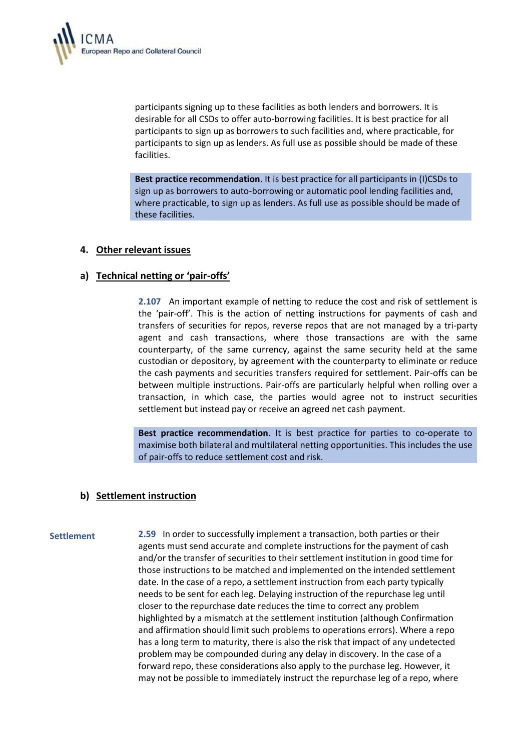

participants signing up to these facilities as both lenders and borrowers. It is desirable for all CSDs to offer auto-borrowing facilities. It is best practice for all participants to sign up as borrowers to such facilities and, where practicable, for participants to sign up as lenders. As full use as possible should be made of these facilities.

**Best practice recommendation**. It is best practice for all participants in (I)CSDs to sign up as borrowers to auto-borrowing or automatic pool lending facilities and, where practicable, to sign up as lenders. As full use as possible should be made of these facilities.

#### **4. Other relevant issues**

## **a) Technical netting or 'pair-offs'**

**2.107** An important example of netting to reduce the cost and risk of settlement is the 'pair-off'. This is the action of netting instructions for payments of cash and transfers of securities for repos, reverse repos that are not managed by a tri-party agent and cash transactions, where those transactions are with the same counterparty, of the same currency, against the same security held at the same custodian or depository, by agreement with the counterparty to eliminate or reduce the cash payments and securities transfers required for settlement. Pair-offs can be between multiple instructions. Pair-offs are particularly helpful when rolling over a transaction, in which case, the parties would agree not to instruct securities settlement but instead pay or receive an agreed net cash payment.

**Best practice recommendation**. It is best practice for parties to co-operate to maximise both bilateral and multilateral netting opportunities. This includes the use of pair-offs to reduce settlement cost and risk.

#### **b) Settlement instruction**

**Settlement 2.59** In order to successfully implement a transaction, both parties or their agents must send accurate and complete instructions for the payment of cash and/or the transfer of securities to their settlement institution in good time for those instructions to be matched and implemented on the intended settlement date. In the case of a repo, a settlement instruction from each party typically needs to be sent for each leg. Delaying instruction of the repurchase leg until closer to the repurchase date reduces the time to correct any problem highlighted by a mismatch at the settlement institution (although Confirmation and affirmation should limit such problems to operations errors). Where a repo has a long term to maturity, there is also the risk that impact of any undetected problem may be compounded during any delay in discovery. In the case of a forward repo, these considerations also apply to the purchase leg. However, it may not be possible to immediately instruct the repurchase leg of a repo, where